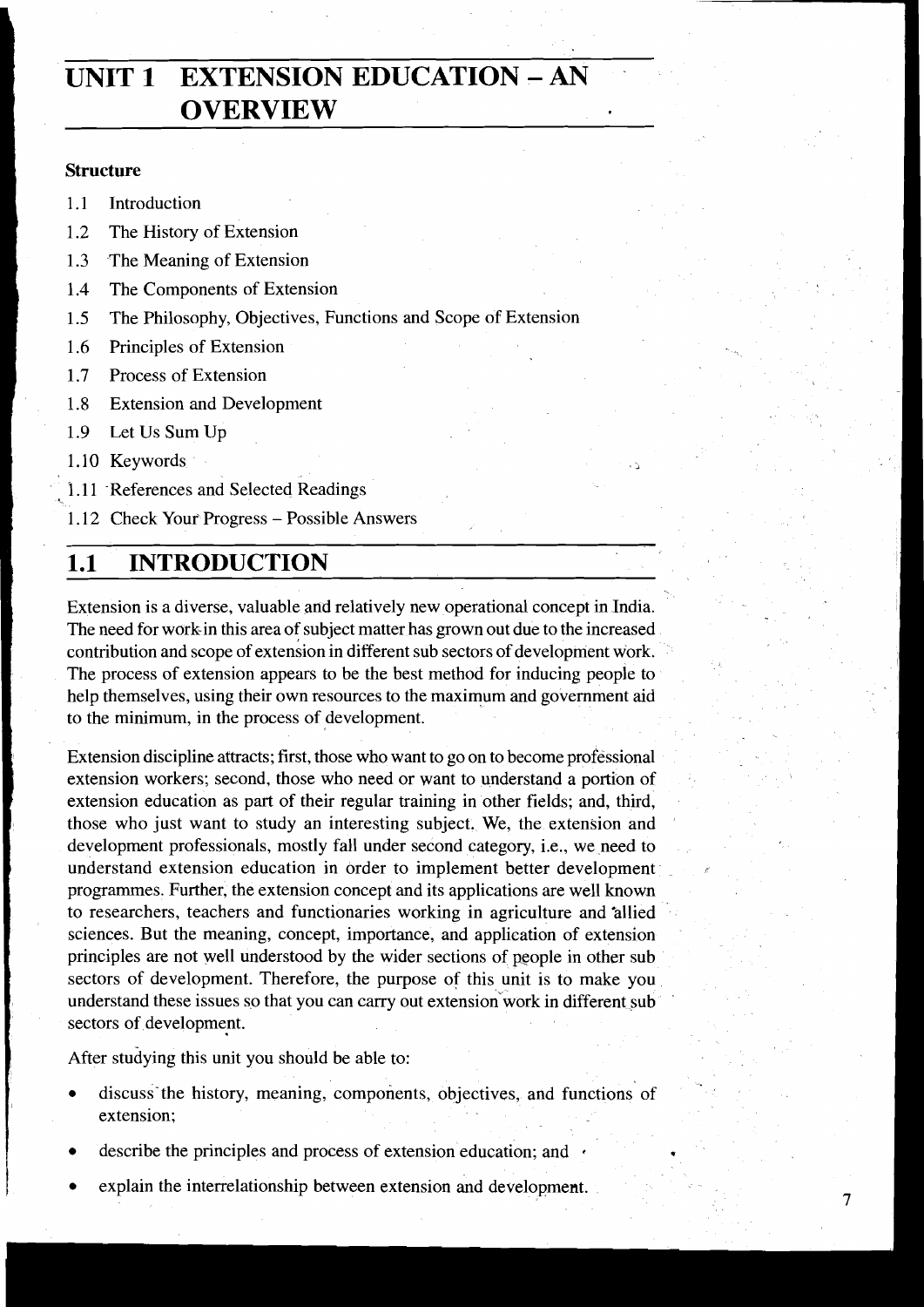# **UNIT 1 EXTENSION EDUCATION** - **AN OVERVIEW**

#### **Structure**

- 1.1 Introduction
- 1.2 The History of Extension
- 1.3 The Meaning of Extension
- 1.4 The Components of Extension
- **1.5** The Philosophy, Objectives, Functions and Scope of Extension
- 1.6 Principles of Extension
- 1.7 Process of Extension
- 1.8 Extension and Development
- 1.9 Let Us Sum Up
- 1.10 Keywords
- 1.11 References and Selected Readings
- 1.12 Check Your Progress Possible Answers

# 1.1 **INTRODUCTION**

Extension is a diverse, valuable and relatively new operational concept in India. The need for workin this area of subject matter has grown out due to the increased contribution and scope of extension in different sub sectors of development work. The process of extension appears to be the best method for inducing people to help themselves, using their own resources to the maximum and government aid to the minimum, in the process of development.

Extension discipline attracts; first, those who want to go on to become professional extension workers; second, those who need or want to understand a portion of extension education as part of their regular training in other fields; and, third, those who just want to study an interesting subject. We, the extension and development professionals, mostly fall under second category, i.e., we need to understand extension education in order to implement better development programmes. Further, the extension concept and its applications are well known to researchers, teachers and functionaries working in agriculture and 'allied sciences. But the meaning, concept, importance, and application of extension principles are not well understood by the wider sections of people in other sub sectors of development. Therefore, the purpose of this unit is to make you understand these issues so that you can carry out extension work in different sub sectors of development.

After studying this unit you should be able to:

discuss'the history, meaning, components, objectives, and functions of extension;

 $\overline{7}$ 

- describe the principles and process of extension education; and
- explain the interrelationship between extension and development.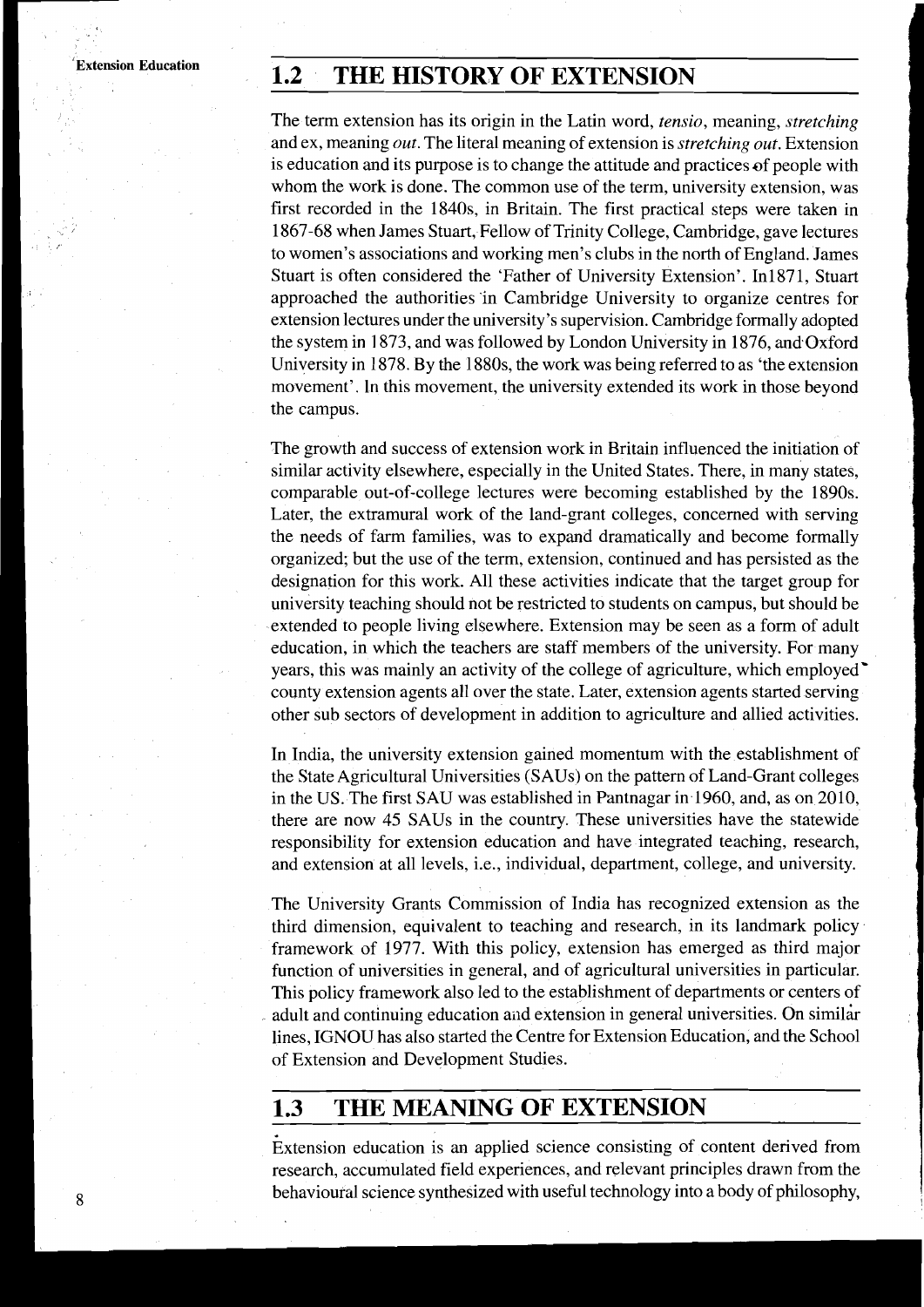# **Extension Education T.2 THE HISTORY OF EXTENSION**

The term extension has its origin in the Latin word, tensio, meaning, stretching and ex, meaning *out*. The literal meaning of extension is *stretching out*. Extension is education and its purpose is to change the attitude and practices of people with whom the work is done. The common use of the term, university extension, was first recorded in the 1840s, in Britain. The first practical steps were taken in 1867-68 when James Stuart, Fellow of Trinity College, Cambridge, gave lectures to women's associations and working men's clubs in the north of England. James Stuart is often considered the 'Father of University Extension'. In1871, Stuart approached the authorities 'in Cambridge University to organize centres for extension lectures under the university's supervision. Cambridge formally adopted the system in 1873, and was followed by London University in 1876, and Oxford University in 1878. By the 1880s, the work was being referred to as 'the extension movement'. In this movement, the university extended its work in those beyond the campus.

The growth and success of extension work in Britain influenced the initiation of similar activity elsewhere, especially in the United States. There, in many states, comparable out-of-college lectures were becoming established by the 1890s. Later, the extramural work of the land-grant colleges, concerned with serving the needs of farm families, was to expand dramatically and become formally organized; but the use of the term, extension, continued and has persisted as the designation for this work. All these activities indicate that the target group for university teaching should not be restricted to students on campus, but should be extended to people living elsewhere. Extension may be seen as a form of adult education, in which the teachers are staff members of the university. For many years, this was mainly an activity of the college of agriculture, which employed' county extension agents all over the state. Later, extension agents started serving other sub sectors of development in addition to agriculture and allied activities.

In India, the university extension gained momentum with the establishment of the State Agricultural Universities (SAUs) on the pattern of Land-Grant colleges in the US. The first SAU was established in Pantnagar in 1960, and, as on 2010, there are now 45 SAUs in the country. These universities have the statewide responsibility for extension education and have integrated teaching, research, and extension at all levels, i.e., individual, department, college, and university.

The University Grants Commission of India has recognized extension as the third dimension, equivalent to teaching and research, in its landmark policy framework of 1977. With this policy, extension has emerged as third major function of universities in general, and of agricultural universities in particular. This policy framework also led to the establishment of departments or centers of adult and continuing education and extension in general universities. On similar lines, IGNOU has also started the Centre for Extension Education, and the School of Extension and Development Studies.

# **1.3 THE MEANING OF EXTENSION**

Extension education is an applied science consisting of content derived from research, accumulated field experiences, and relevant principles drawn from the behavioural science synthesized with useful technology into a body of philosophy,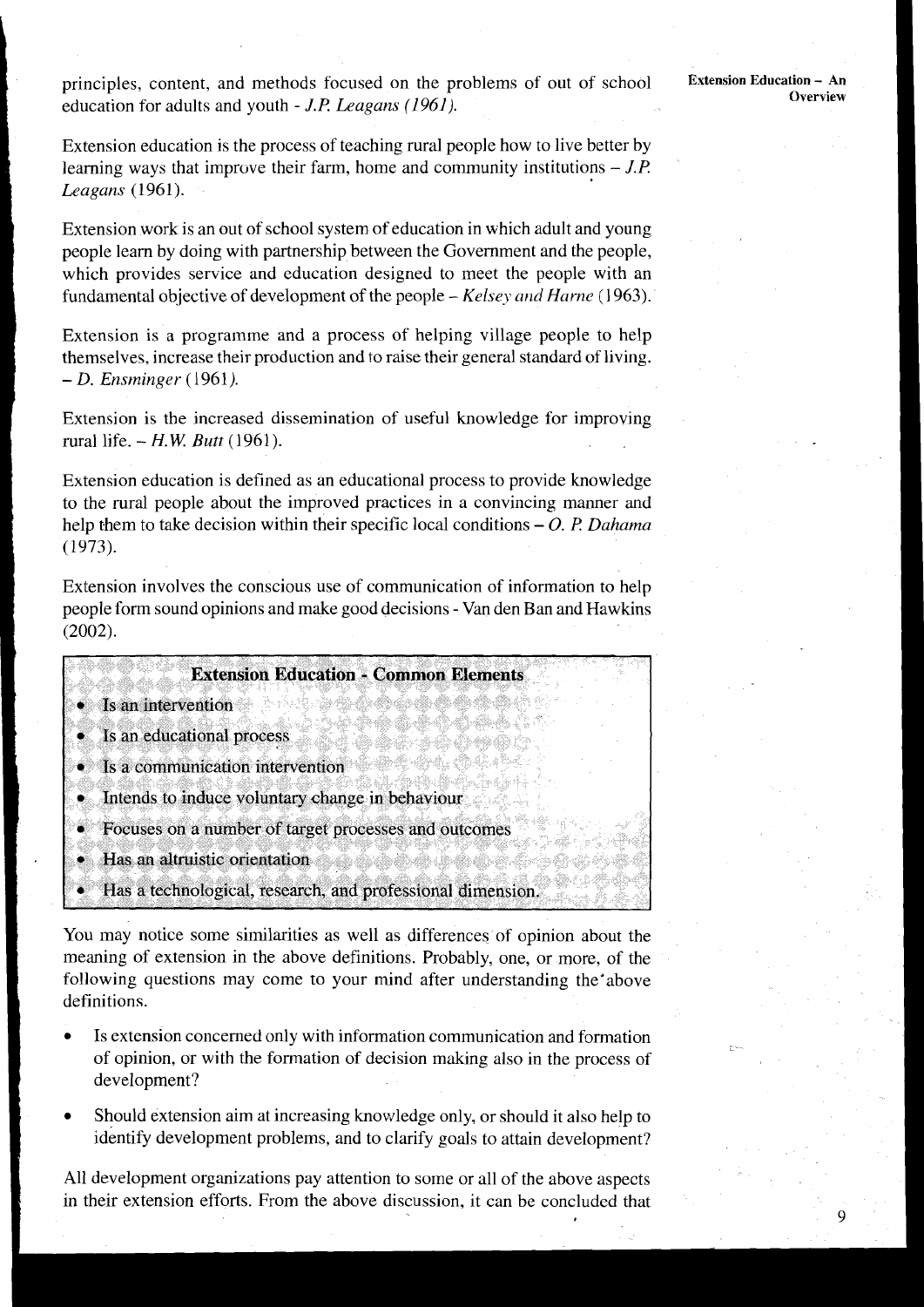9

principles, content, and methods focused on the problems of out of school education for adults and youth - J.P *Leagans (1961).* 

Extension education is the process of teaching mral people how to live better by learning ways that improve their farm, home and community institutions  $- J.P$ . *Leagans* (1961).

Extension work is an out of school system of education in which adult and young people learn by doing with partnership between the Government and the people, which provides service and education designed to meet the people with an fundamental objective of development of the people – *Kelsey and Harne* (1963).

Extension is a programme and a process of helping village people to help themselves, increase their production and to raise their general standard of living. - D. *Ensrninger* (1961).

Extension is the increased dissemination of useful knowledge for improving rural life. - *H.W Butt* (1961).

Extension education is defined as an educational process to provide knowledge to the mral people about the improved practices in a convincing manner and help them to take decision within their specific local conditions – O. P. Dahama (1973).

Extension involves the conscious use of communication of information to help people form sound opinions and make good decisions - Van den Ban and Hawkins (2002).

|                                                      | <b>Extension Education - Common Elements</b>            |
|------------------------------------------------------|---------------------------------------------------------|
|                                                      |                                                         |
| Is an intervention                                   |                                                         |
|                                                      |                                                         |
| • Is an educational process                          |                                                         |
| Is a communication intervention                      |                                                         |
|                                                      |                                                         |
| • Intends to induce voluntary change in behaviour    |                                                         |
| Focuses on a number of target processes and outcomes |                                                         |
|                                                      |                                                         |
| Has an altruistic orientation                        |                                                         |
|                                                      | Has a technological research and professional dimension |

You may notice some similarities as well as differences of opinion about the meaning of extension in the above definitions. Probably, one, or more, of the following questions may come to your mind after understanding the'above definitions.

- Is extension concerned only with information communication and formation of opinion, or with the formation of decision making also in the process of development?
- Should extension aim at increasing knowledge only, or should it also help to identify development problems, and to clarify goals to attain development?

All development organizations pay attention to some or all of the above aspects in their extension efforts. From the above discussion, it can be concluded that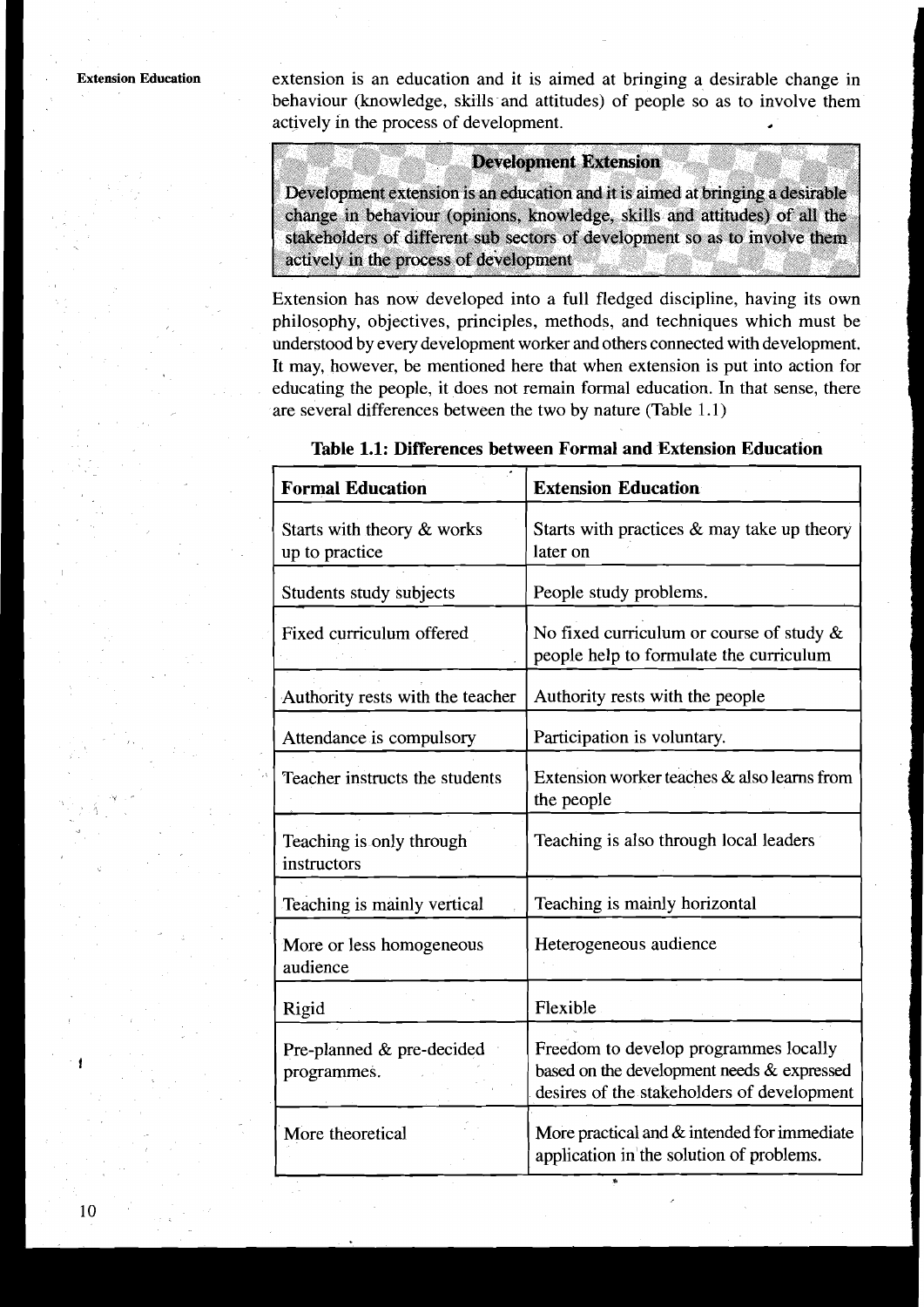**Extension Education** extension is an education and it is aimed at bringing a desirable change in behaviour (knowledge, skills and attitudes) of people so as to involve them actively in the process of development.

#### **Development Extension**

Development extension is an education and it is aimed at bringing a desirable change in behaviour (opinions, knowledge, skills and attitudes) of all the stakeholders of different sub sectors of development so as to involve them actively in the process of development

Extension has now developed into a full fledged discipline, having its own philosophy, objectives, principles, methods, and techniques which must be understood by every development worker and others connected with development. It may, however, be mentioned here that when extension is put into action for educating the people, it does not remain formal education. In that sense, there are several differences between the two by nature (Table 1.1)

| <b>Formal Education</b>                      | <b>Extension Education</b>                                                                                                        |  |  |
|----------------------------------------------|-----------------------------------------------------------------------------------------------------------------------------------|--|--|
| Starts with theory & works<br>up to practice | Starts with practices & may take up theory<br>later on                                                                            |  |  |
| Students study subjects                      | People study problems.                                                                                                            |  |  |
| Fixed curriculum offered                     | No fixed curriculum or course of study $\&$<br>people help to formulate the curriculum                                            |  |  |
| Authority rests with the teacher             | Authority rests with the people                                                                                                   |  |  |
| Attendance is compulsory                     | Participation is voluntary.                                                                                                       |  |  |
| Teacher instructs the students               | Extension worker teaches & also learns from<br>the people                                                                         |  |  |
| Teaching is only through<br>instructors      | Teaching is also through local leaders                                                                                            |  |  |
| Teaching is mainly vertical                  | Teaching is mainly horizontal                                                                                                     |  |  |
| More or less homogeneous<br>audience         | Heterogeneous audience                                                                                                            |  |  |
| Rigid                                        | Flexible                                                                                                                          |  |  |
| Pre-planned & pre-decided<br>programmes.     | Freedom to develop programmes locally<br>based on the development needs & expressed<br>desires of the stakeholders of development |  |  |
| More theoretical                             | More practical and & intended for immediate<br>application in the solution of problems.                                           |  |  |

#### **Table 1.1: Differences between Formal and Extension Education**

10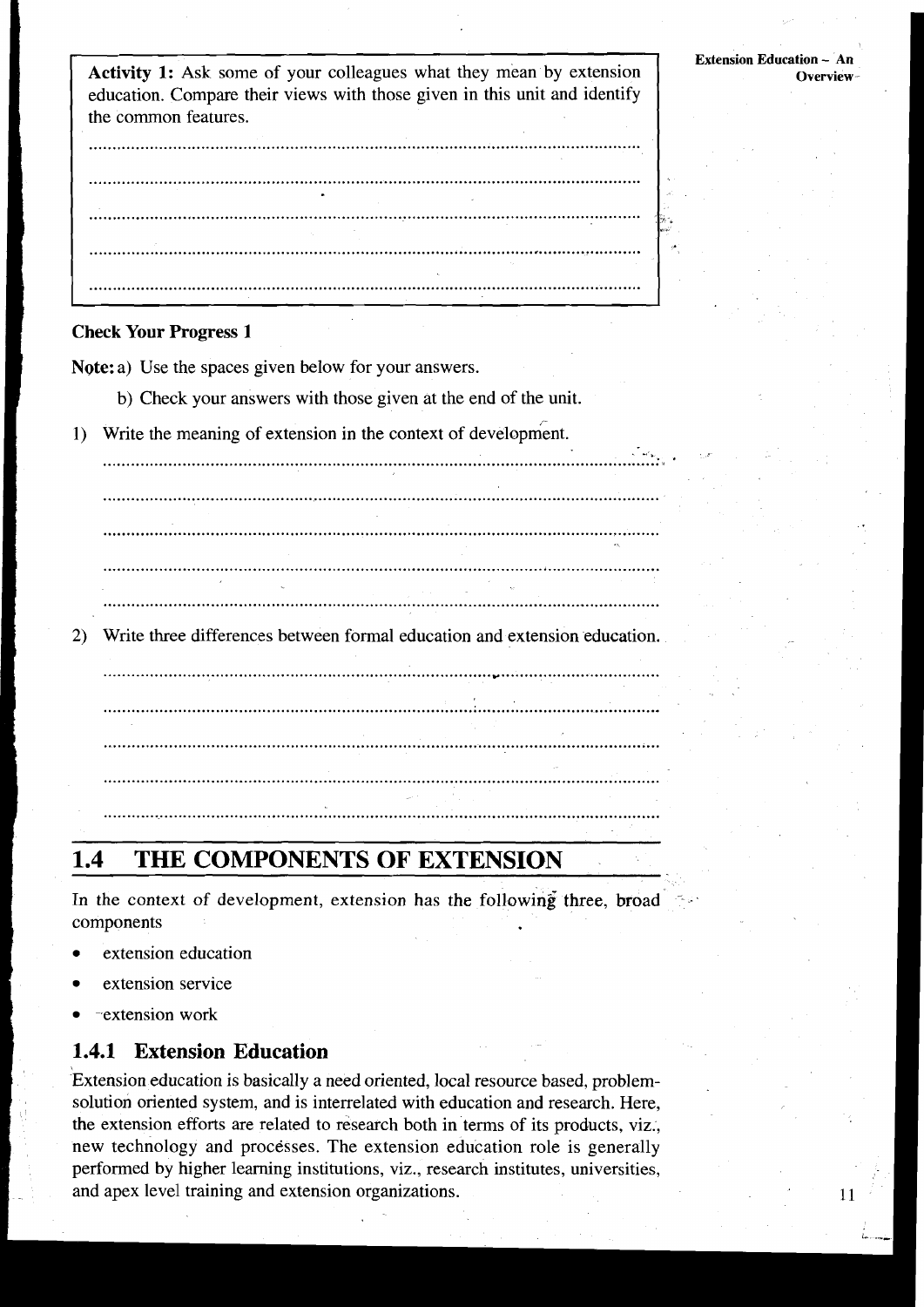**Activity 1:** Ask some of your colleagues what they mean by extension education. Compare their views with those given in this unit and identify the common features.

#### **Check Your Progress 1**

Note: a) Use the spaces given below for your answers.

b) Check your answers with those given at the end of the unit.

Write the meaning of extension in the context of development.  $\left| \right|$ 

the contract of the contract of the contract of the contract of the contract of the contract of the Write three differences between formal education and extension education. 

#### 1.4 THE COMPONENTS OF EXTENSION

In the context of development, extension has the following three, broad components

- extension education
- extension service
- -extension work

2)

## **1.4.1 Extension Education**

Extension education is basically a need oriented, local resource based, problemsolution oriented system, and is interrelated with education and research. Here, the extension efforts are related to research both in terms of its products, viz., new technology and processes. The extension education role is generally performed by higher learning institutions, viz., research institutes, universities, and apex level training and extension organizations.

**Extension Education - An Overview** 

 $11$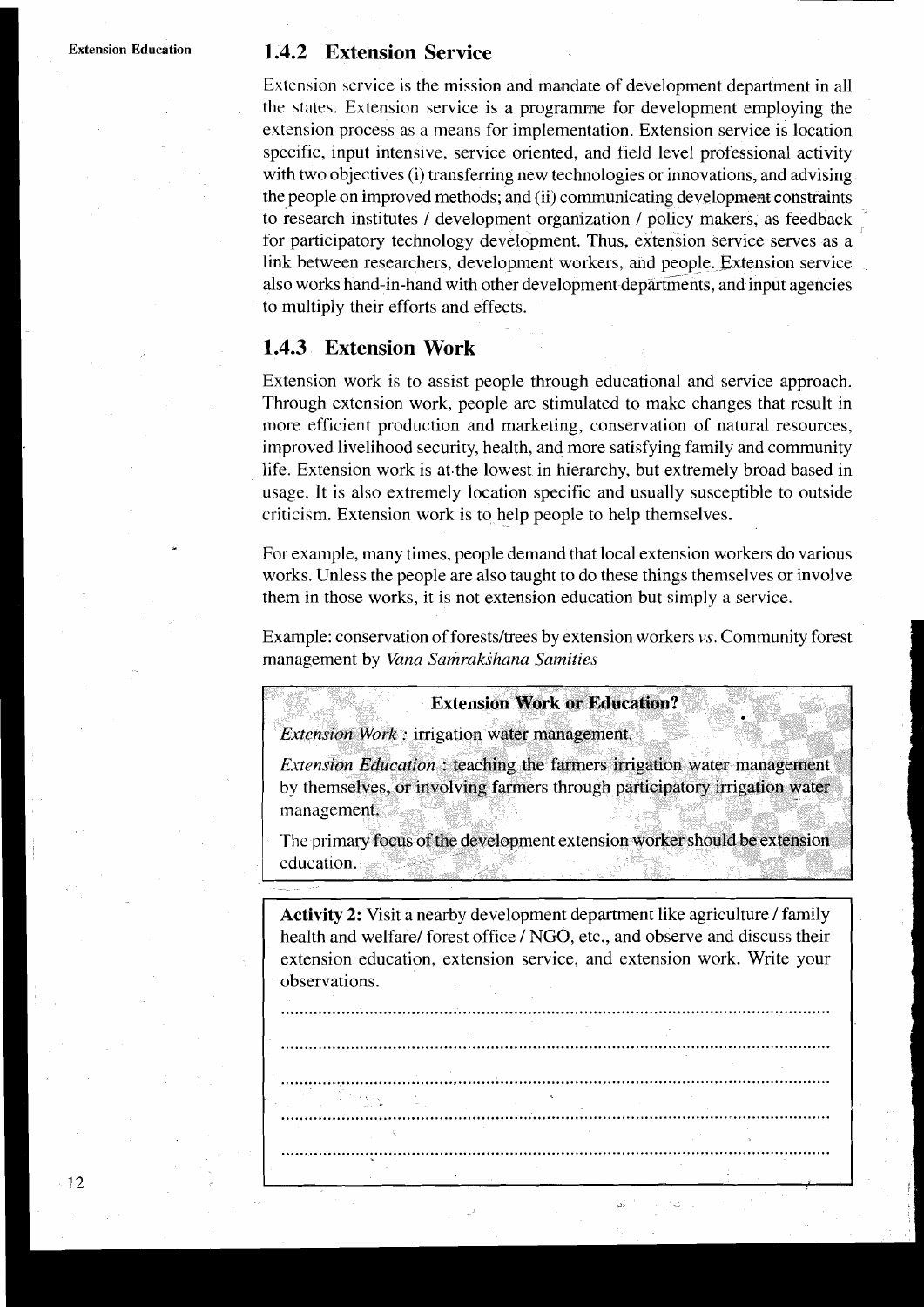#### **Extension Education 1.4.2 Extension Service**

Extension service is the mission and mandate of development department in all the states. Extension service is a programme for development employing the extension process as a means for implementation. Extension service is location specific, input intensive. service oriented, and field level professional activity with two objectives (i) transferring new technologies or innovations, and advising the people on improved methods; and (ii) communicating development constraints to research institutes / development organization / policy makers, as feedback for participatory technology development. Thus, extension service serves as a link between researchers, development workers, and people. Extension service also works hand-in-hand with other development departments, and input agencies to multiply their efforts and effects.

## **1.4.3 Extension Work**

Extension work is to assist people through educational and service approach. Through extension work, people are stimulated to make changes that result in more efficient production and marketing, conservation of natural resources, improved livelihood security, health, and more satisfying family and community life. Extension work is at.the lowest in hierarchy, but extremely broad based in usage. It is also extremely location specific and usually susceptible to outside criticism. Extension work is to help people to help themselves.

For example, many times, people demand that local extension workers do various works. Unless the people are also taught to do these things themselves or involve them in those works, it is not extension education but simply a service.

Example: conservation of forests/trees by extension workers vs. Community forest management by *Vana Samrakshana Samities* 

**Extension Work or Education?** 

Extension Work: irrigation water management.

*Extension Education*: teaching the farmers irrigation water management by themselves, or involving farmers through participatory irrigation water management.

The primary focus of the development extension worker should be extension education.

**Activity 2:** Visit a nearby development department like agriculture / family health and welfare/ forest office / NGO, etc., and observe and discuss their extension education, extension service, and extension work. Write your observations.

......................................................................................................................

......................................................................................................................

........................................................................................................................ . .

......................................................................................................................

......................................................................................................................

i di

-12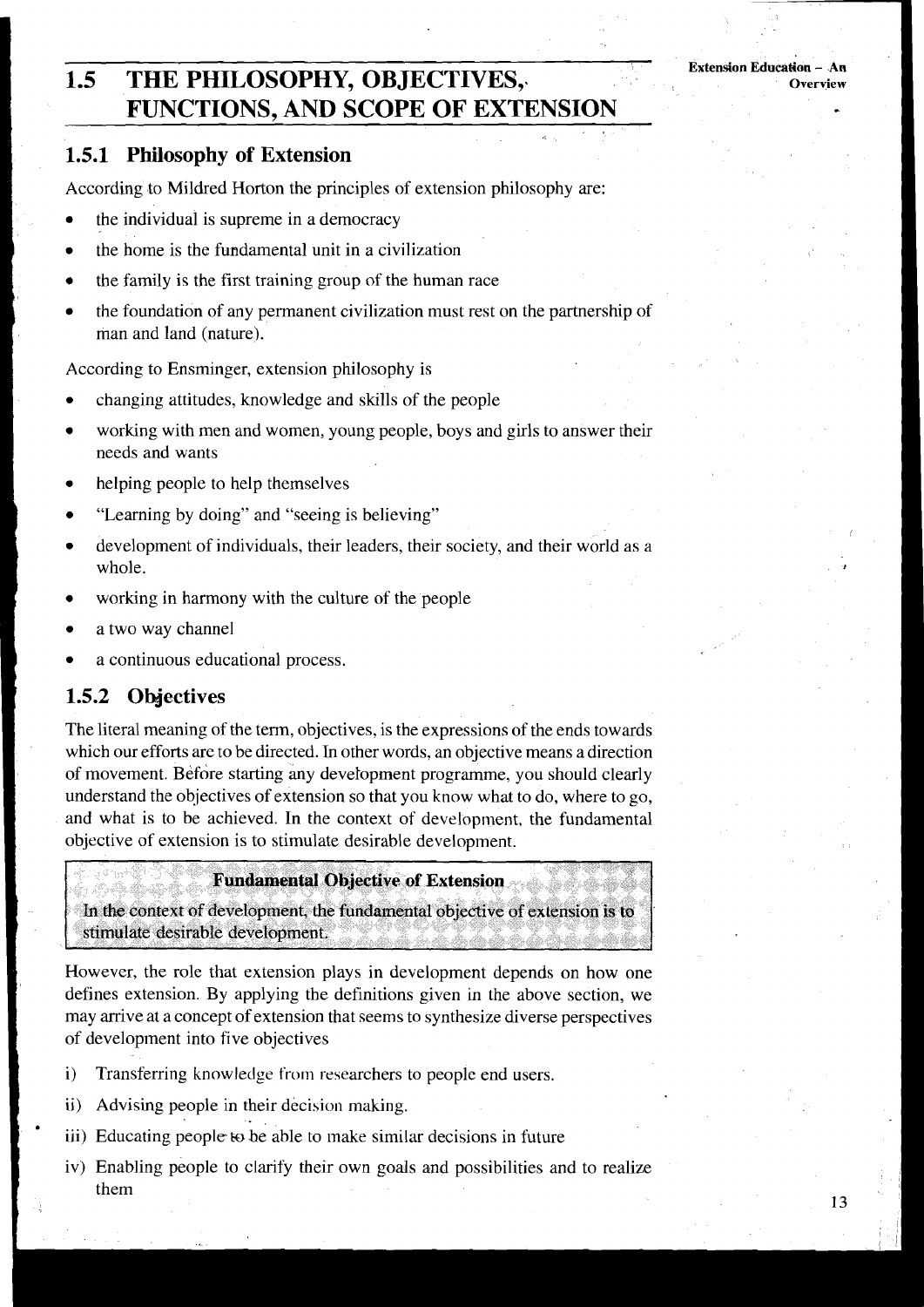# **1.5 THE PHILOSOPHY, OBJECTIVES,. FUNCTIONS, AND SCOPE OF EXTENSION**

## **1.51 Philosophy of Extension**

According to Mildred Horton the principles of extension philosophy are:

- the individual is supreme in a democracy
- the home is the fundamental unit in a civilization
- the family is the first training group of the human race
- the foundation of any permanent civilization must rest on the partnership of man and land (nature).

According to Ensminger, extension philosophy is

- changing attitudes, knowledge and skills of the people
- working with men and women, young people, boys and girls to answer their needs and wants
- helping people to help themselves
- "Learning by doing" and "seeing is believing"
- development of individuals, their leaders, their society, and their world as a whole.
- working in harmony with the culture of the people
- a two way channel
- a continuous educational process.

#### Objectives 1.5.2

The literal meaning of the term, objectives, is the expressions of the ends towards which our efforts are to be directed. In other words, an objective means a direction of movement. Before starting any development programme, you should clearly understand the objectives of extension so that you know what to do, where to go, and what is to be achieved. In the context of development, the fundamental objective of extension is to stimulate desirable development.

#### **Fundamental Objective of Extension**

In the context of development, the fundamental objective of extension is to stimulate desirable development.

However, the role that extension plays in development depends on how one defines extension. By applying the definitions given in the above section, we may arrive at a concept of extension that seems to synthesize diverse perspectives of development into five objectives

- i) Transferring knowledge from researchers to people end users.
- ii) Advising people in their decision making.
- iii) Educating people to be able to make similar decisions in future
- iv) Enabling people to clarify their own goals and possibilities and to realize them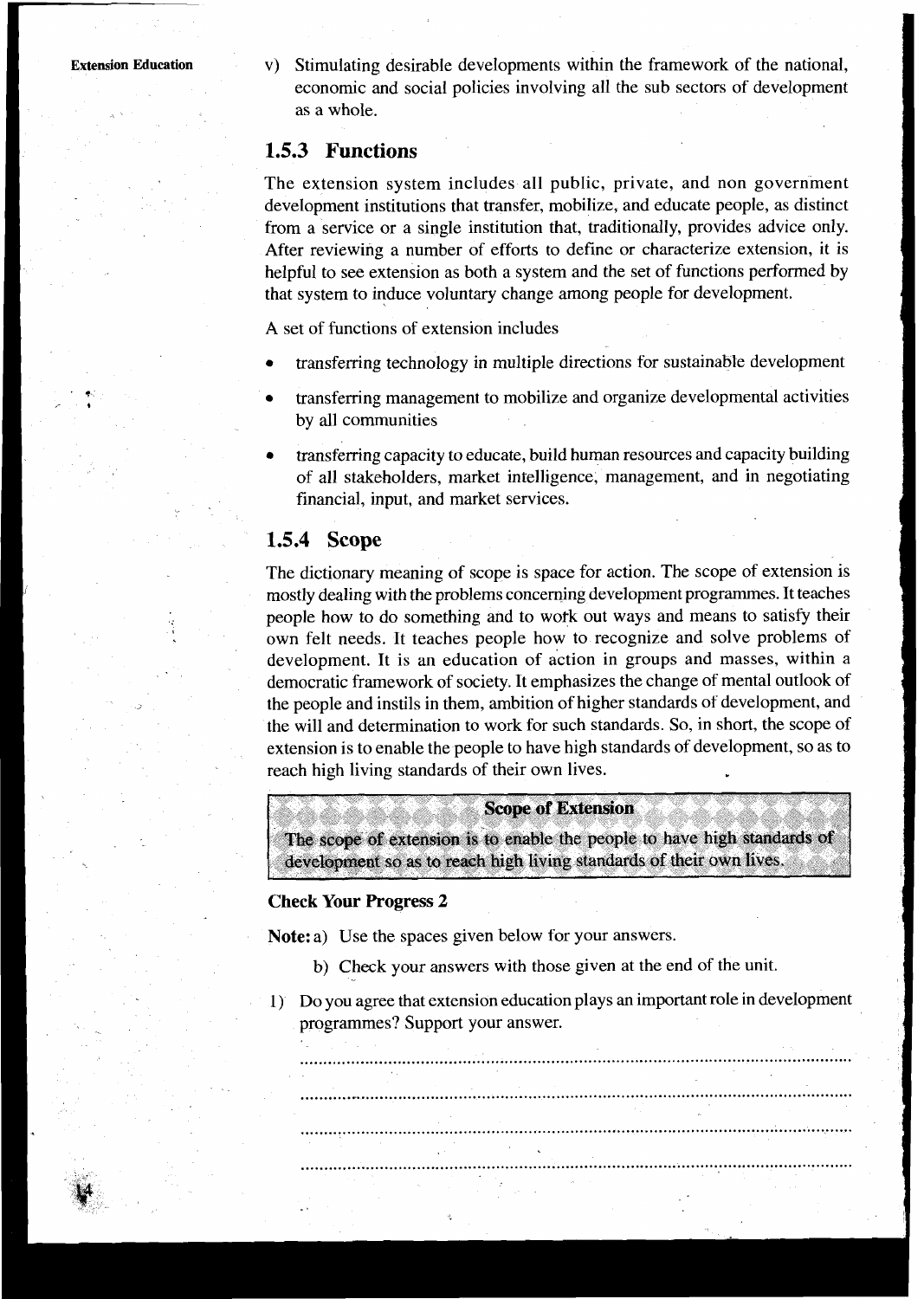**T** 

**Extension Education** v) Stimulating desirable developments within the framework of the national, economic and social policies involving all the sub sectors of development as a whole.

## **1.5.3 Functions**

The extension system includes all public, private, and non government development institutions that transfer, mobilize, and educate people, as distinct from a service or a single institution that, traditionally, provides advice only. After reviewing a number of efforts to define or characterize extension, it is helpful to see extension as both a system and the set of functions performed by that system to induce voluntary change among people for development.

**A** set of functions of extension includes

- transferring technology in multiple directions for sustainable development
- transferring management to mobilize and organize developmental activities by all communities
- transferring capacity to educate, build human resources and capacity building of all stakeholders, market intelligence, management, and in negotiating financial, input, and market services.

## **1.5.4 Scope**

The dictionary meaning of scope is space for action. The scope of extension is mostly dealing with the problems concerning development programmes. It teaches people how to do something and to wofk out ways and means to satisfy their own felt needs. It teaches people how to recognize and solve problems of development. It is an education of action in groups and masses, within a democratic framework of society. It emphasizes the change of mental outlook of the people and instils in them, ambition of higher standards of development, and the will and determination to work for such standards. So, in short, the scope of extension is to enable the people to have high standards of development, so as to reach high living standards of their own lives.

#### **Scope of Extension**

The scope of extension is to enable the people to have high standards of development so as to reach high living standards of their own lives.

#### **Check Your Progress 2**

**Note:** a) Use the spaces given below for your answers.

- b) Check your answers with those given at the end of the unit.
- 1) Do you agree that extension education plays an important role in development programmes? Support your answer.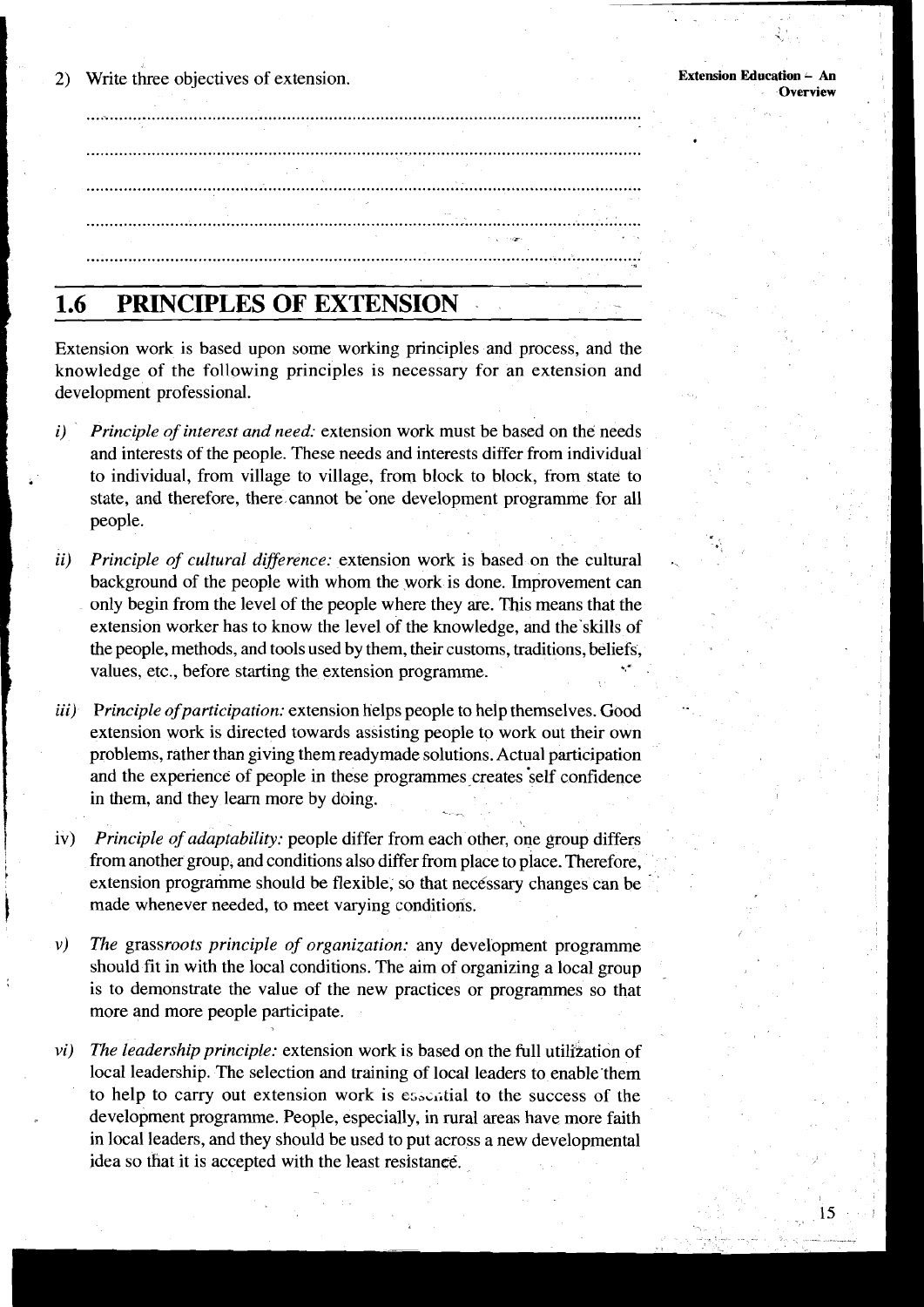Write three objectives of extension.  $\mathbf{2}$ 

15

# 

#### PRINCIPLES OF EXTENSION  $1.6$

Extension work is based upon some working principles and process, and the knowledge of the following principles is necessary for an extension and development professional.

- Principle of interest and need: extension work must be based on the needs  $\mathbf{i}$ and interests of the people. These needs and interests differ from individual to individual, from village to village, from block to block, from state to state, and therefore, there cannot be one development programme for all people.
- Principle of cultural difference: extension work is based on the cultural ii) background of the people with whom the work is done. Improvement can only begin from the level of the people where they are. This means that the extension worker has to know the level of the knowledge, and the skills of the people, methods, and tools used by them, their customs, traditions, beliefs, values, etc., before starting the extension programme.
- Principle of participation: extension helps people to help themselves. Good *iii*) extension work is directed towards assisting people to work out their own problems, rather than giving them readymade solutions. Actual participation and the experience of people in these programmes creates self confidence in them, and they learn more by doing.
- Principle of adaptability: people differ from each other, one group differs  $iv)$ from another group, and conditions also differ from place to place. Therefore, extension programme should be flexible, so that necessary changes can be made whenever needed, to meet varying conditions.
- $\nu$ The grassroots principle of organization: any development programme should fit in with the local conditions. The aim of organizing a local group is to demonstrate the value of the new practices or programmes so that more and more people participate.
- The leadership principle: extension work is based on the full utilization of  $vi)$ local leadership. The selection and training of local leaders to enable them to help to carry out extension work is essential to the success of the development programme. People, especially, in rural areas have more faith in local leaders, and they should be used to put across a new developmental idea so that it is accepted with the least resistance.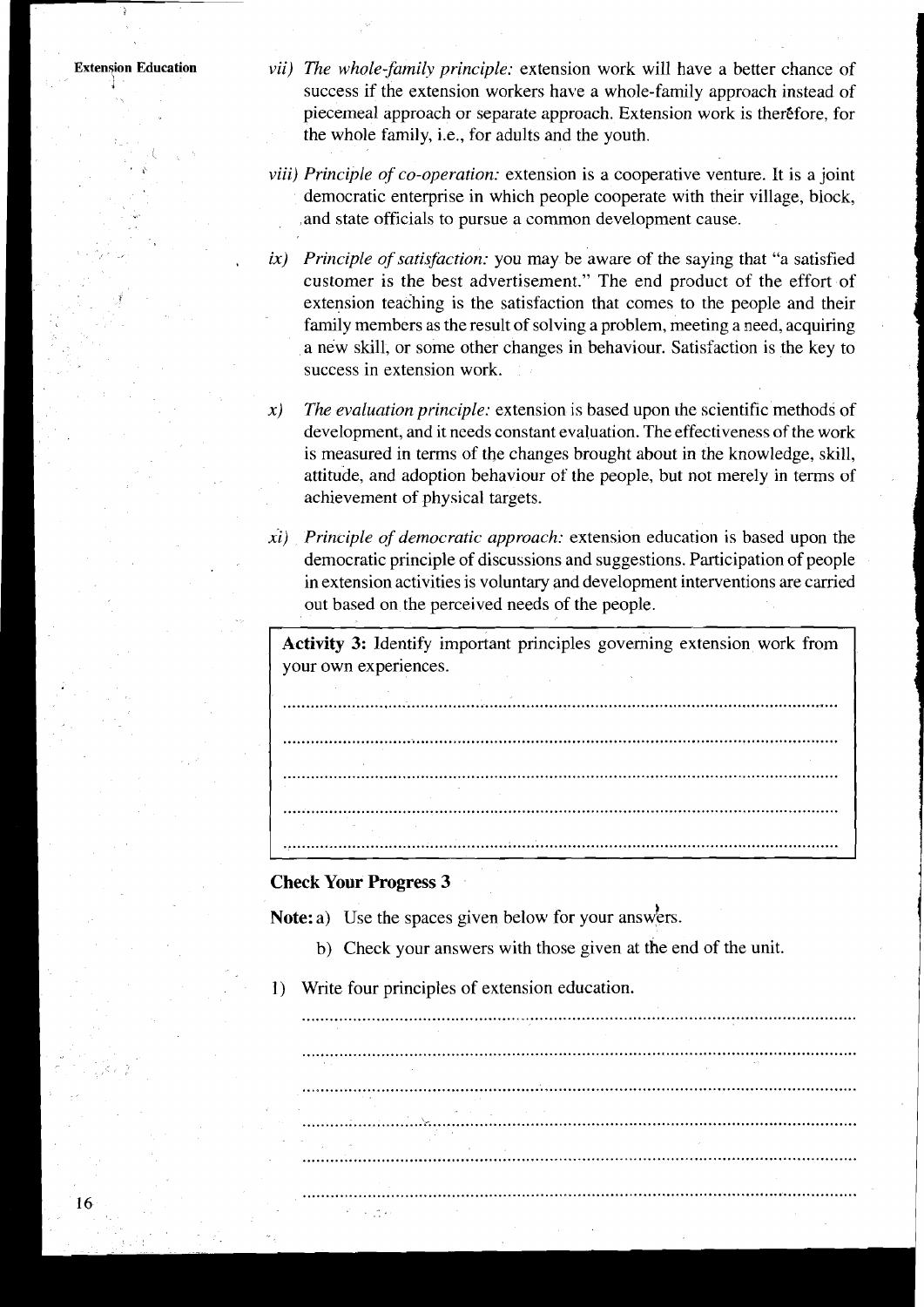- vii) The whole-family principle: extension work will have a better chance of success if the extension workers have a whole-family approach instead of piecemeal approach or separate approach. Extension work is therefore, for the whole family, i.e., for adults and the youth.
- *viii) Principle of co-operation:* extension is a cooperative venture. It is a joint democratic enterprise in which people cooperate with their village, block, and state officials to pursue a common development cause.
- $ix$ ) Principle of satisfaction: you may be aware of the saying that "a satisfied customer is the best advertisement." The end product of the effort of extension teaching is the satisfaction that comes to the people and their family members as the result of solving a problem, meeting a need, acquiring a new skill, or some other changes in behaviour. Satisfaction is the key to success in extension work.
- $x)$ The evaluation principle: extension is based upon the scientific methods of development, and it needs constant evaluation. The effectiveness of the work is measured in terms of the changes brought about in the knowledge, skill, attitude, and adoption behaviour of the people, but not merely in terms of achievement of physical targets.
- $xi$ ) Principle of democratic approach: extension education is based upon the democratic principle of discussions and suggestions. Participation of people in extension activities is voluntary and development interventions are carried out based on the perceived needs of the people.

Activity 3: Identify important principles governing extension work from your own experiences.

#### **Check Your Progress 3**

データーカメ

Note: a) Use the spaces given below for your answers.

- b) Check your answers with those given at the end of the unit.
- Write four principles of extension education.  $1)$

16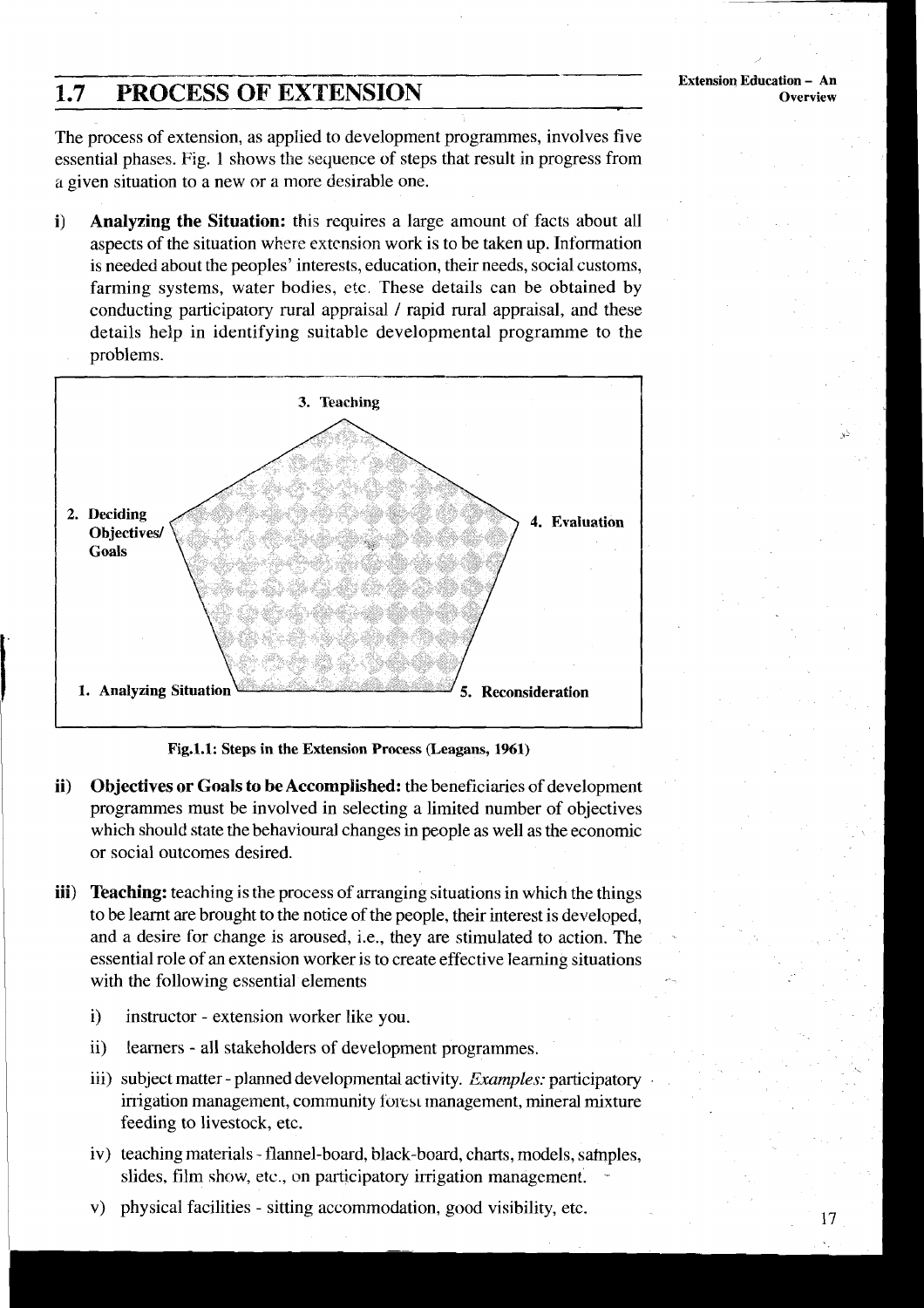# **2.7 PROCESS OF EXTENSION**

The process of extension, as applied to development programmes, involves five essential phases. Fig. 1 shows the sequence of steps that result in progress from a given situation to a new or a more desirable one.

**i) Analyzing the Situation:** this requires a large amount of facts about all aspects of the situation where extension work is to be taken up. Information is needed about the peoples' interests, education, their needs, social customs, farming systems, water bodies, etc. These details can be obtained by conducting participatory rural appraisal / rapid rural appraisal, and these details help in identifying suitable developmental programme to the problems.



**Fig.l.1: Steps in the Extension Process (Leagans, 1961)** 

- **ii) Objectives or Goals to be Accomplished:** the beneficiaries of development programmes must be involved in selecting a limited number of objectives which should state the behavioural changes in people as well as the economic or social outcomes desired.
- **iii)** Teaching: teaching is the process of arranging situations in which the things to be learnt are brought to the notice of the people, their interest is developed, and a desire for change is aroused, i.e., they are stimulated to action. The essential role of an extension worker is to create effective learning situations with the following essential elements
	- i) instructor extension worker like you.
	- ii) learners all stakeholders of development programmes.
	- iii) subject matter planned developmental activity. *Examples:* participatory irrigation management, community forest management, mineral mixture feeding to livestock, etc.
	- iv) teaching materials flannel-board, black-board, charts, rnodels, safnples, slides, film show, etc., on participatory irrigation management.
	- v) physical facilities sitting accommodation, good visibility, etc.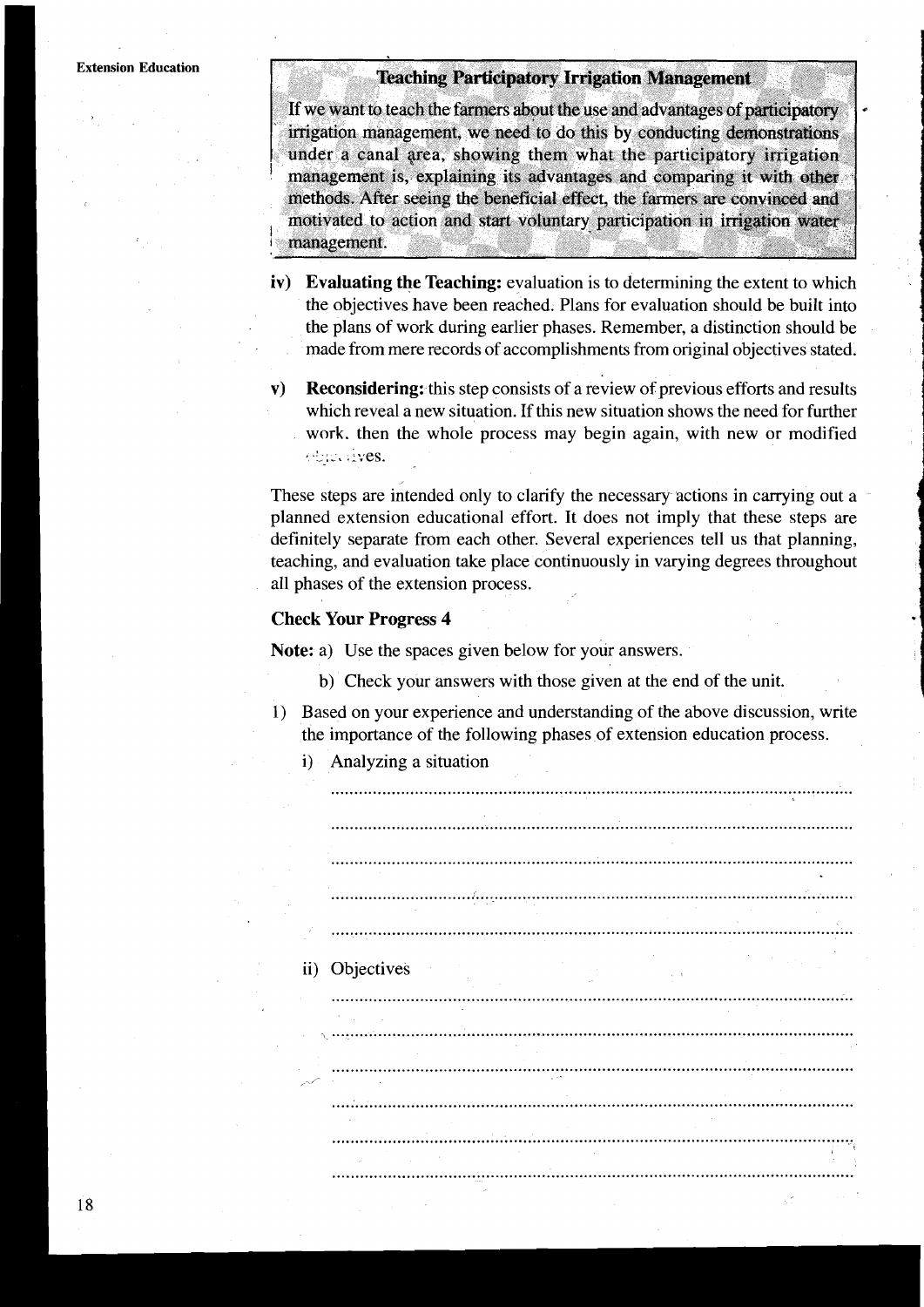#### **Teaching Participatory Irrigation Management**

If we want to teach the farmers about the use and advantages of participatory irrigation management, we need to do this by conducting demonstrations under a canal area, showing them what the participatory irrigation management is, explaining its advantages and comparing it with other methods. After seeing the beneficial effect, the farmers are convinced and motivated to action and start voluntary participation in irrigation water management.

- **iv) Evaluating the Teaching:** evaluation is to determining the extent to which the objectives have been reached. Plans for evaluation should be built into the plans of work during earlier phases. Remember, a distinction should be made from mere records of accomplishments from original objectives stated.
- **v) Reconsidering:** this step consists of a review of previous efforts and results which reveal a new situation. If this new situation shows the need for further work. then the whole process may begin again, with new or modified , . **:A,** -. .-~es.

These steps are intended only to clarify the necessary actions in carrying out a planned extension educational effort. It does not imply that these steps are definitely separate from each other. Several experiences tell us that planning, teaching, and evaluation take place continuously in varying degrees throughout all phases of the extension process.

#### **Check Your Progress 4**

Note: a) Use the spaces given below for your answers.

- b) Check your answers with those given at the end of the unit.
- 1) Based on your experience and understanding of the above discussion, write the importance of the following phases of extension education process.
	- i) Analyzing a situation ii) Objectives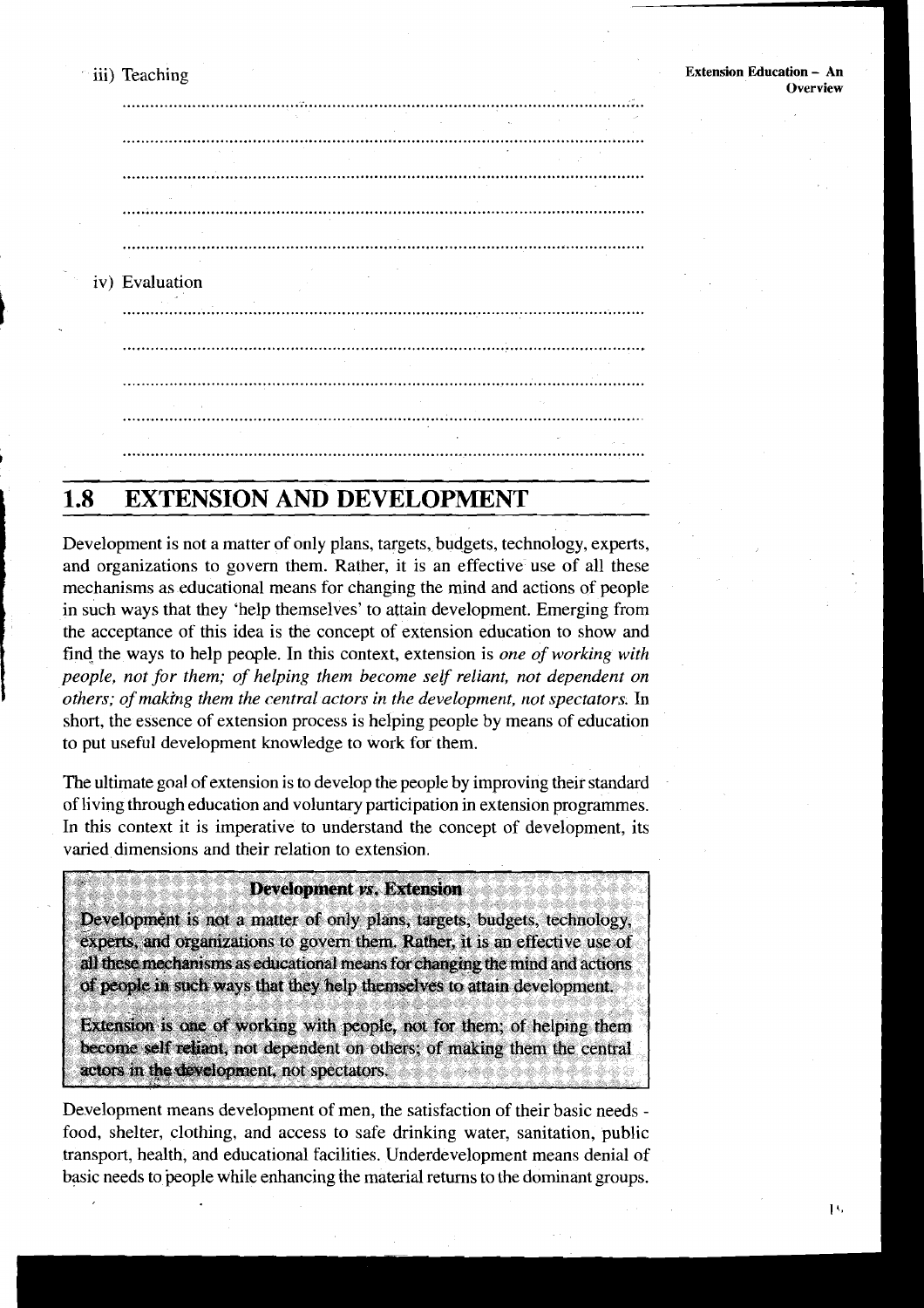**Extension Education** - **An**  iii) Teaching ................................................................................................................ and the contract of the contract of the contract of the contract of the contract of the contract of the contract of the contract of the contract of the contract of the contract of the contract of the contract of the contra ................................................................................................................ ................................................................................................................ iv) Evaluation 

# **1.8 EXTENSION AND DEVELOPMENT**

Development is not a matter of only plans, targets, budgets, technology, experts, and organizations to govern them. Rather, it is an effective use of all these mechanisms as educational means for changing the mind and actions of people in such ways that they 'help themselves' to attain development. Emerging from the acceptance of this idea is the concept of extension education to show and find the ways to help people. In this context, extension is *one of working with people, not for them; of helping them become self reliant, not dependent on others; of making them the central actors in the development, not spectators.* In short, the essence of extension process is helping people by means of education to put useful development knowledge to work for them.

The ultimate goal of extension is to develop the people by improving their standard of living through education and voluntary participation in extension programmes. In this context it is imperative to understand the concept of development, its varied dimensions and their relation to extension.

#### **Development vs. Extension**

Development is not a matter of only plans, targets, budgets, technology, experts, and organizations to govern them. Rather, it is an effective use of all these mechanisms as educational means for changing the mind and actions of people in such ways that they help themselves to attain development.

Extension is one of working with people, not for them; of helping them become self reliant, not dependent on others; of making them the central actors in the development, not spectators.

Development means development of men, the satisfaction of their basic needs food, shelter, clothing, and access to safe drinking water, sanitation, public transport, health, and educational facilities. Underdevelopment means denial of basic needs to people while enhancing the material returns to the dominant groups.

 $1\cdot$ 

**Overview**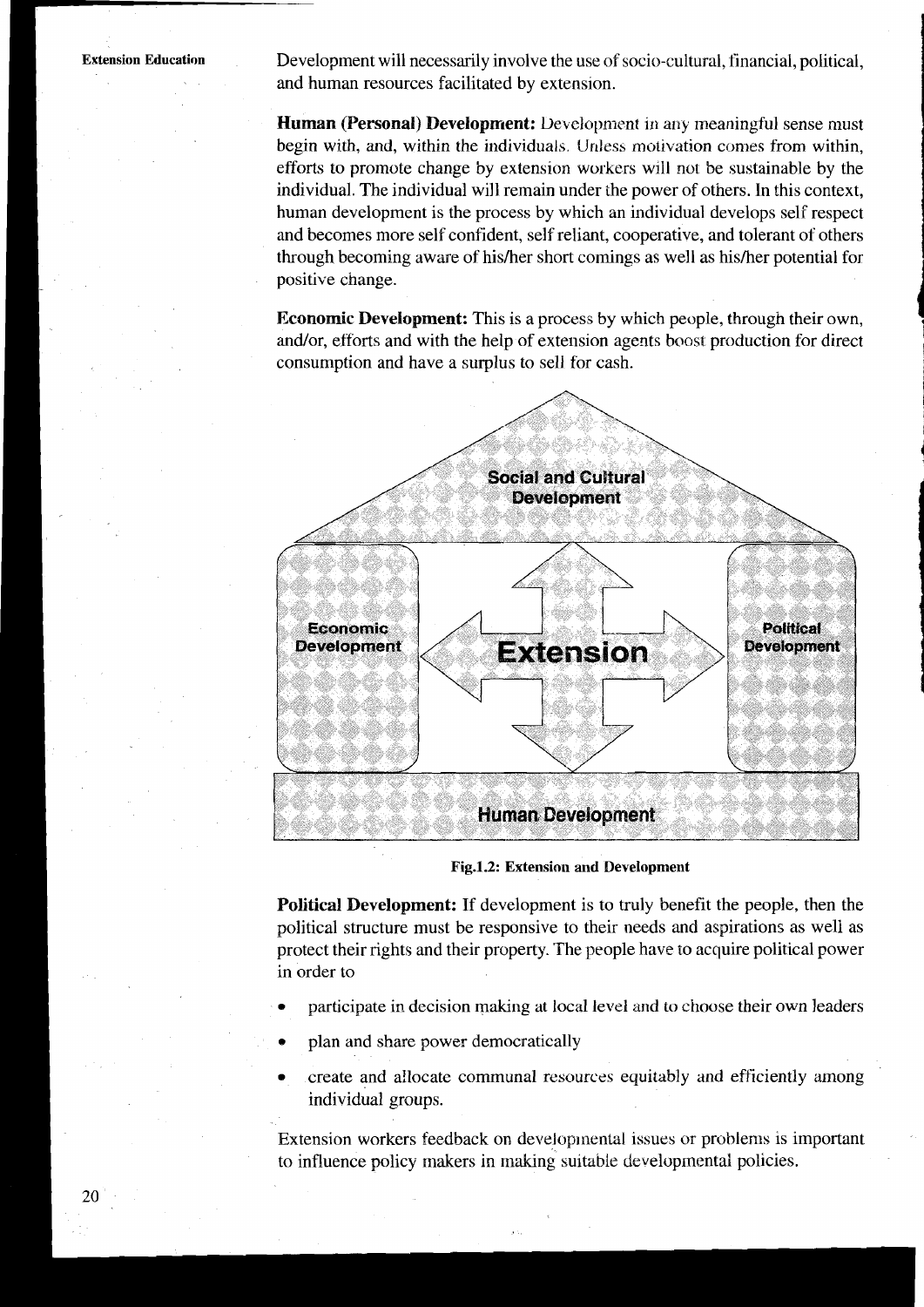Development will necessarily involve the use of socio-cultural, financial, political, and human resources facilitated by extension.

**Human (Personal) Development:** Development in any meaningful sense must begin with, and, within the individuals. Unless motivation comes from within, efforts to promote change by extension workers will not be sustainable by the individual. The individual will remain under the power of others. In this context, human development is the process by which an individual develops self respect and becomes more self confident, self reliant, cooperative, and tolerant of others through becoming aware of his/her short comings as well as his/her potential for positive change.

**Economic Development:** This is a process by which people, through their own. and/or, efforts and with the help of extension agents boost production for direct consumption and have a surplus to sell for cash.



Fig.1.2: Extension and Development

**Political Development:** If development is to truly benefit the people, then the political structure must be responsive to their needs and aspirations as well as protect their rights and their property. The people have to acquire political power in order to

- participate in decision making at local level and to choose their own leaders
- plan and share power democratically
- create and allocate communal resources equitably and efficiently among individual groups.

Extension workers feedback on developmental issues or problems is important to influence policy makers in making suitable developmental policies.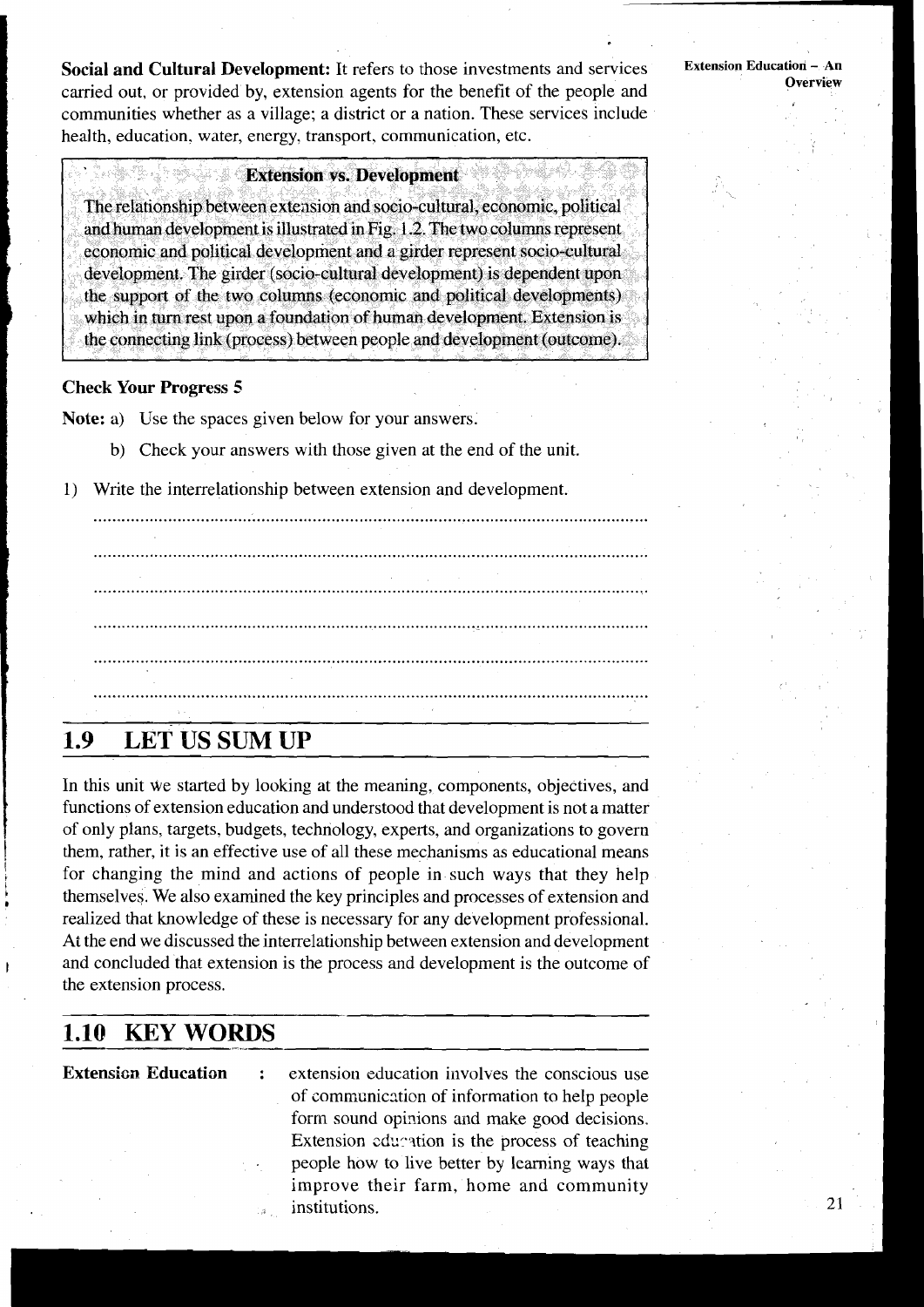**Social and Cultural Development: It** refers to those investments and services carried out, or provided by, extension agents for the benefit of the people and communities whether as a village; a district or a nation. These services include health, education. water, energy, transport, communication, etc.

#### **Extension vs. Development**

The relationship between extension and socio-cultural, economic, political and human development is illustrated in Fig. 1.2. The two columns represent economic and political development and a girder represent socio-cultural development. The girder (socio-cultural development) is dependent upon the support of the two columns (economic and political developments) which in turn rest upon a foundation of human development. Extension is the connecting link (process) between people and development (outcome).

#### **Check Your Progress 5**

Note: a) Use the spaces given below for your answers.

- b) Check your answers with those given at the end of the unit.
- 1) Write the interrelationship between extension and development.

# .......................................................................................................................

#### 1.9 **LET US SUM UP**

In this unit we started by looking at the meaning, components, objectives, and functions of extension education and understood that development is not a matter of only plans, targets, budgets, technology, experts, and organizations to govern them, rather, it is an effective use of all these mechanisms as educational means for changing the mind and actions of people in such ways that they help themselves. We also examined the key principles and processes of extension and realized that knowledge of these is necessary for any development professional. At the end we discussed the interrelationship between extension and development and concluded that extension is the process and development is the outcome of the extension process.

## **1.10 KEY WORDS**

**Extension Education** : extension education involves the conscious use of communication of information to help people form sound opinions and make good decisions. Extension education is the process of teaching . people how to live better by learning ways that improve their farm, home and community . institutions.

**Extension Education** - **An Overview**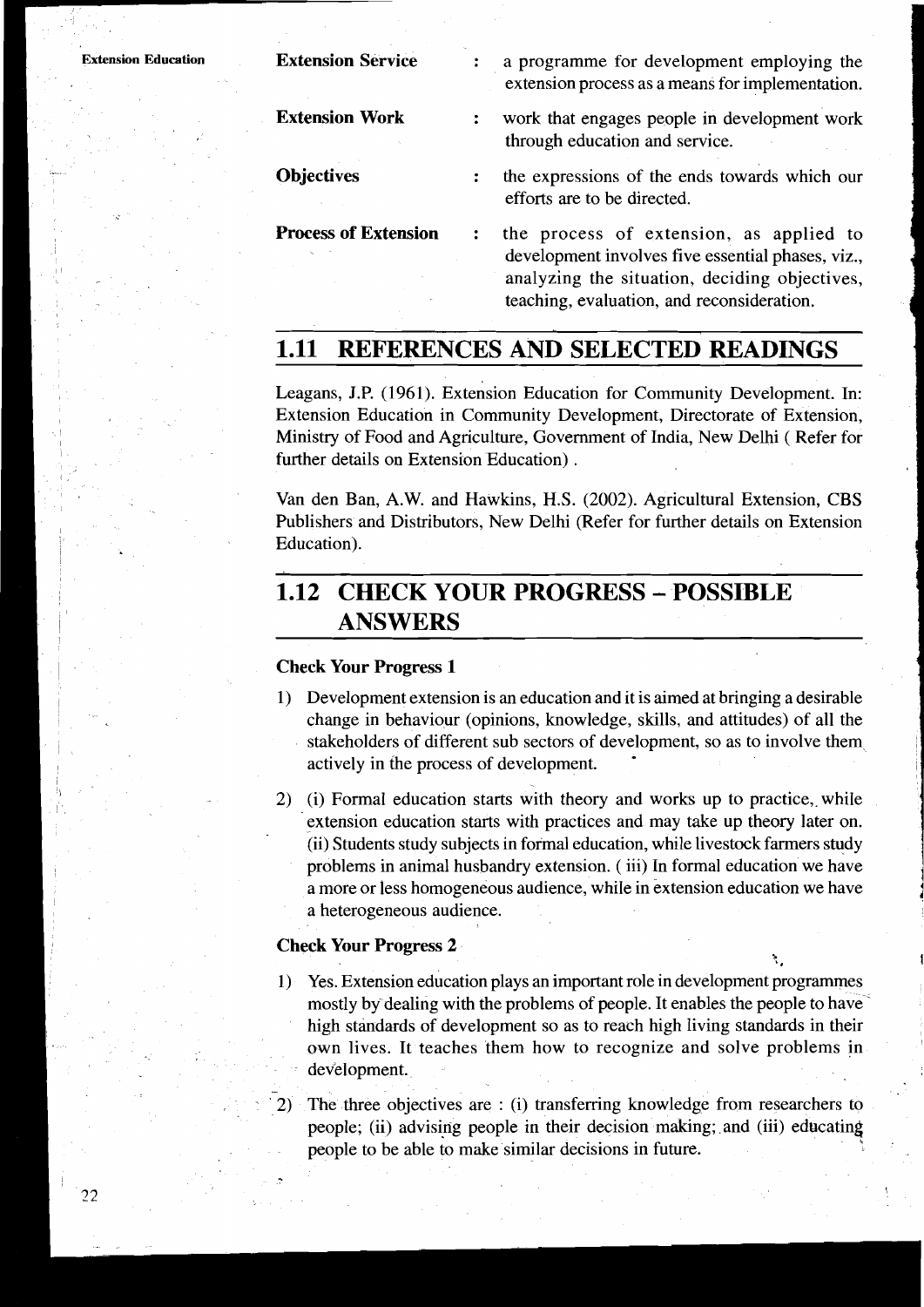| <b>Extension Education</b> | <b>Extension Service</b>    | a programme for development employing the<br>extension process as a means for implementation. |
|----------------------------|-----------------------------|-----------------------------------------------------------------------------------------------|
|                            | <b>Extension Work</b>       | work that engages people in development work<br>through education and service.                |
|                            | <b>Objectives</b>           | the expressions of the ends towards which our<br>efforts are to be directed.                  |
|                            | <b>Process of Extension</b> | the process of extension, as applied to<br>development involves five essential phases viz     |

- a means for implementation.
- $e$ cople in development work through ends end service.
- **Objectives** : the expressions of the ends towards which our  $cted.$
- **Process of Extension** : the process of extension, as applied to ment involves five essential phases, viz., analyzing the situation, deciding objectives, teaching, evaluation, and reconsideration.

# **1.11 REFERENCES AND SELECTED READINGS**

Leagans, J.P. (1961). Extension Education for Community Development. In: Extension Education in Community Development, Directorate of Extension, Ministry of Food and Agriculture, Government of India, New Delhi ( Refer for further details on Extension Education) .

Van den Ban, A.W. and Hawkins, H.S. (2002). Agricultural Extension, CBS Publishers and Distributors, New Delhi (Refer for further details on Extension Education).

# **1.12 CHECK YOUR PROGRESS** - **POSSIBLE ANSWERS**

#### **Check Your Progress 1**

- 1) Development extension is an education and it is aimed at bringing a desirable change in behaviour (opinions, knowledge, skills, and attitudes) of all the stakeholders of different sub sectors of development, so as to involve them actively in the process of development.
- 2) (i) Formal education starts with theory and works up to practice, while extension education starts with practices and may take up theory later on. (ii) Students study subjects in formal education, while livestock farmers study problems in animal husbandry extension. ( iii) In formal education we have a more or less homogeneous audience, while in extension education we have a heterogeneous audience.

# **Check Your Progress 2**

- 1) Yes. Extension education plays an important role in development programmes mostly by dealing with the problems of people. It enables the people to have high standards of development so as to reach high living standards in their own lives. It teaches them how to recognize and solve problems in development.
	- The three objectives are : (i) transferring knowledge from researchers to people; (ii) advising people in their decision making; and (iii) educating people to be able to make similar decisions in future.